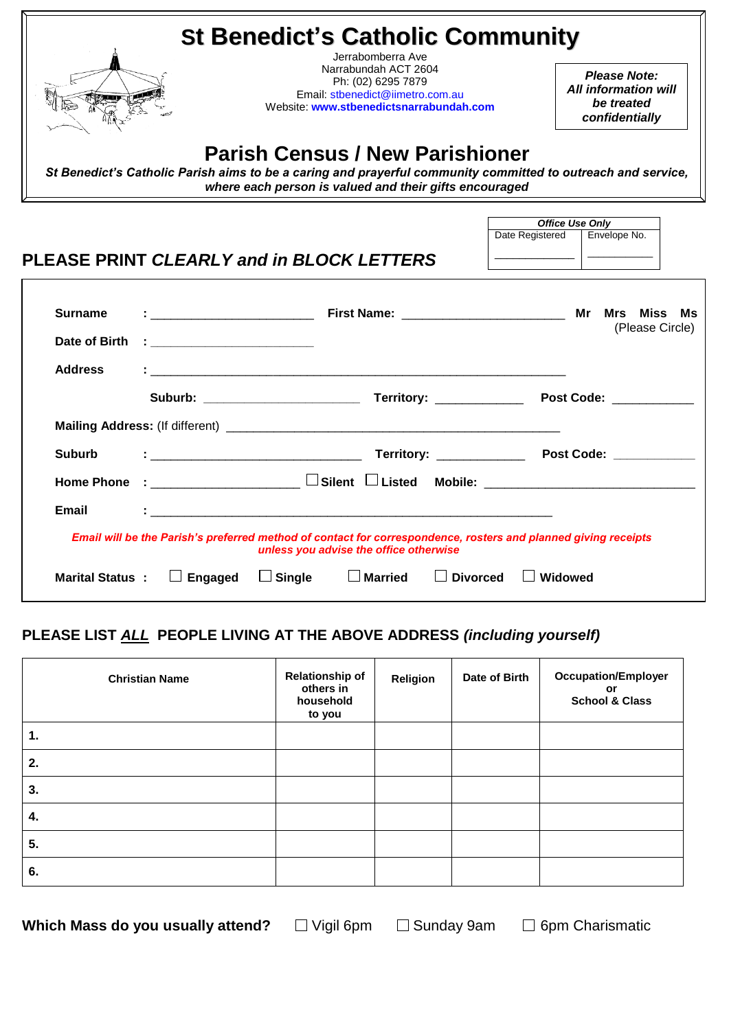|                                 | <b>St Benedict's Catholic Community</b>                                                                                                                                                                                              | Jerrabomberra Ave                                                                                                         |                                |                                                                                                                                                                                                                                                                                                                                                                                                                                                                  |  |  |
|---------------------------------|--------------------------------------------------------------------------------------------------------------------------------------------------------------------------------------------------------------------------------------|---------------------------------------------------------------------------------------------------------------------------|--------------------------------|------------------------------------------------------------------------------------------------------------------------------------------------------------------------------------------------------------------------------------------------------------------------------------------------------------------------------------------------------------------------------------------------------------------------------------------------------------------|--|--|
|                                 |                                                                                                                                                                                                                                      | Narrabundah ACT 2604<br>Ph: (02) 6295 7879<br>Email: stbenedict@iimetro.com.au<br>Website: www.stbenedictsnarrabundah.com |                                | Please Note:<br><b>All information will</b><br>be treated<br>confidentially                                                                                                                                                                                                                                                                                                                                                                                      |  |  |
|                                 | St Benedict's Catholic Parish aims to be a caring and prayerful community committed to outreach and service,                                                                                                                         | <b>Parish Census / New Parishioner</b><br>where each person is valued and their gifts encouraged                          |                                |                                                                                                                                                                                                                                                                                                                                                                                                                                                                  |  |  |
|                                 | PLEASE PRINT CLEARLY and in BLOCK LETTERS                                                                                                                                                                                            |                                                                                                                           | Date Registered                | <b>Office Use Only</b><br>Envelope No.<br>$\begin{tabular}{ccccc} \multicolumn{2}{c }{\textbf{1} & \textbf{2} & \textbf{3} & \textbf{4} & \textbf{5} & \textbf{5} & \textbf{6} & \textbf{6} & \textbf{7} & \textbf{8} & \textbf{8} & \textbf{9} & \textbf{10} & \textbf{10} & \textbf{10} & \textbf{10} & \textbf{10} & \textbf{10} & \textbf{10} & \textbf{10} & \textbf{10} & \textbf{10} & \textbf{10} & \textbf{10} & \textbf{10} & \textbf{10} & \textbf{1$ |  |  |
| <b>Surname</b><br>Date of Birth | $\blacksquare$ . The contract of the contract of the contract of the contract of the contract of the contract of the contract of the contract of the contract of the contract of the contract of the contract of the contract of the |                                                                                                                           |                                | (Please Circle)                                                                                                                                                                                                                                                                                                                                                                                                                                                  |  |  |
| <b>Address</b>                  |                                                                                                                                                                                                                                      |                                                                                                                           |                                |                                                                                                                                                                                                                                                                                                                                                                                                                                                                  |  |  |
|                                 |                                                                                                                                                                                                                                      |                                                                                                                           |                                |                                                                                                                                                                                                                                                                                                                                                                                                                                                                  |  |  |
| <b>Suburb</b>                   |                                                                                                                                                                                                                                      |                                                                                                                           |                                |                                                                                                                                                                                                                                                                                                                                                                                                                                                                  |  |  |
| <b>Home Phone</b>               |                                                                                                                                                                                                                                      |                                                                                                                           |                                |                                                                                                                                                                                                                                                                                                                                                                                                                                                                  |  |  |
| Email                           |                                                                                                                                                                                                                                      |                                                                                                                           |                                |                                                                                                                                                                                                                                                                                                                                                                                                                                                                  |  |  |
|                                 | Email will be the Parish's preferred method of contact for correspondence, rosters and planned giving receipts                                                                                                                       | unless you advise the office otherwise                                                                                    |                                |                                                                                                                                                                                                                                                                                                                                                                                                                                                                  |  |  |
|                                 | Marital Status : $\Box$ Engaged<br>$\Box$ Single                                                                                                                                                                                     | $\Box$ Married                                                                                                            | $\Box$ Divorced $\Box$ Widowed |                                                                                                                                                                                                                                                                                                                                                                                                                                                                  |  |  |

## **PLEASE LIST** *ALL* **PEOPLE LIVING AT THE ABOVE ADDRESS** *(including yourself)*

| <b>Christian Name</b> | <b>Relationship of</b><br>others in<br>household<br>to you | Religion | Date of Birth | <b>Occupation/Employer</b><br>or<br><b>School &amp; Class</b> |
|-----------------------|------------------------------------------------------------|----------|---------------|---------------------------------------------------------------|
| 1.                    |                                                            |          |               |                                                               |
| 2.                    |                                                            |          |               |                                                               |
| 3.                    |                                                            |          |               |                                                               |
| 4.                    |                                                            |          |               |                                                               |
| 5.                    |                                                            |          |               |                                                               |
| 6.                    |                                                            |          |               |                                                               |

**Which Mass do you usually attend?** □ Vigil 6pm □ Sunday 9am □ 6pm Charismatic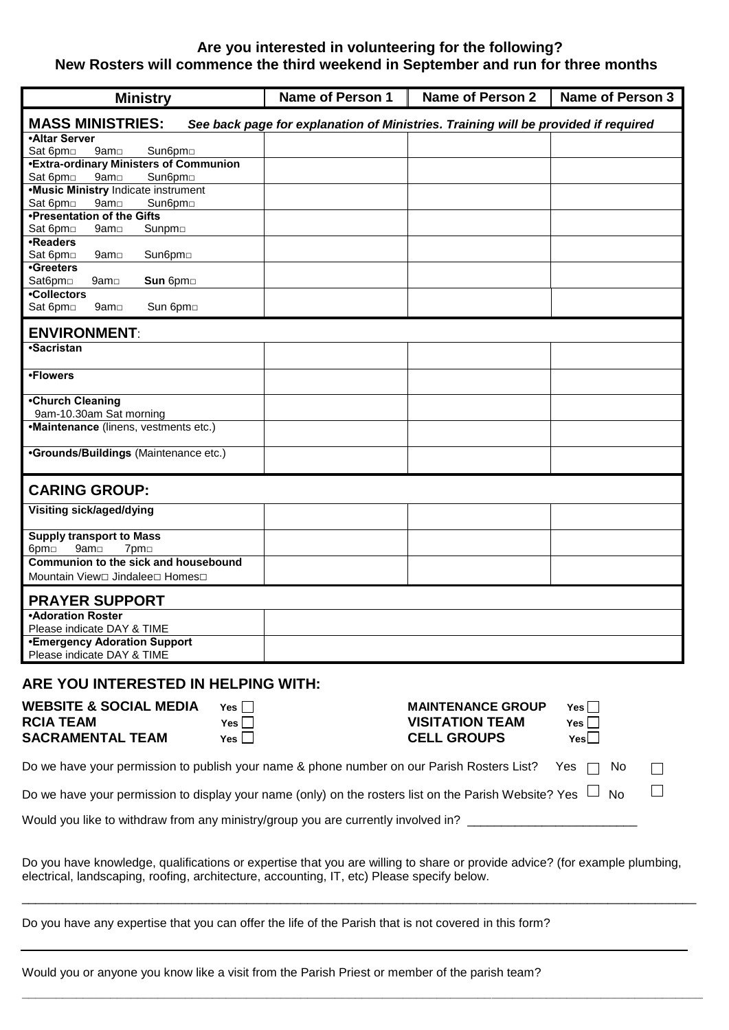#### **Are you interested in volunteering for the following? New Rosters will commence the third weekend in September and run for three months**

| <b>Ministry</b>                                                                   | <b>Name of Person 1</b> | <b>Name of Person 2</b>                                                            | <b>Name of Person 3</b> |
|-----------------------------------------------------------------------------------|-------------------------|------------------------------------------------------------------------------------|-------------------------|
| <b>MASS MINISTRIES:</b>                                                           |                         | See back page for explanation of Ministries. Training will be provided if required |                         |
| <b>.Altar Server</b>                                                              |                         |                                                                                    |                         |
| Sat 6pm<br>9am <sub>[1]</sub><br>Sun6pm                                           |                         |                                                                                    |                         |
| <b>.Extra-ordinary Ministers of Communion</b>                                     |                         |                                                                                    |                         |
| Sat 6pm<br>9am <sub>o</sub><br>Sun6pm <sub>D</sub>                                |                         |                                                                                    |                         |
| <b>.Music Ministry Indicate instrument</b>                                        |                         |                                                                                    |                         |
| Sat 6pm<br>9am <sub>[1</sub><br>Sun6pm <sub>D</sub>                               |                         |                                                                                    |                         |
| •Presentation of the Gifts                                                        |                         |                                                                                    |                         |
| Sat 6pm<br>9am <sub>[1]</sub><br>Sunpm□                                           |                         |                                                                                    |                         |
| •Readers                                                                          |                         |                                                                                    |                         |
| Sat 6pm<br>Sun6pm <sub>D</sub><br>9am□                                            |                         |                                                                                    |                         |
| •Greeters                                                                         |                         |                                                                                    |                         |
| Sat6pm□<br>Sun 6pm<br>9am <del></del>                                             |                         |                                                                                    |                         |
| •Collectors                                                                       |                         |                                                                                    |                         |
| Sat 6pm<br>Sun 6pm<br>9am□                                                        |                         |                                                                                    |                         |
| <b>ENVIRONMENT:</b>                                                               |                         |                                                                                    |                         |
| •Sacristan                                                                        |                         |                                                                                    |                         |
|                                                                                   |                         |                                                                                    |                         |
| •Flowers                                                                          |                         |                                                                                    |                         |
| •Church Cleaning                                                                  |                         |                                                                                    |                         |
| 9am-10.30am Sat morning                                                           |                         |                                                                                    |                         |
| •Maintenance (linens, vestments etc.)                                             |                         |                                                                                    |                         |
| <b>•Grounds/Buildings</b> (Maintenance etc.)                                      |                         |                                                                                    |                         |
| <b>CARING GROUP:</b>                                                              |                         |                                                                                    |                         |
| <b>Visiting sick/aged/dying</b>                                                   |                         |                                                                                    |                         |
|                                                                                   |                         |                                                                                    |                         |
| <b>Supply transport to Mass</b><br>9am <sub>[1]</sub><br>7pm <sub>D</sub><br>6pm⊡ |                         |                                                                                    |                         |
| Communion to the sick and housebound                                              |                         |                                                                                    |                         |
| Mountain View□ Jindalee□ Homes□                                                   |                         |                                                                                    |                         |
| <b>PRAYER SUPPORT</b>                                                             |                         |                                                                                    |                         |
| <b>•Adoration Roster</b>                                                          |                         |                                                                                    |                         |
| Please indicate DAY & TIME                                                        |                         |                                                                                    |                         |
| <b>.Emergency Adoration Support</b>                                               |                         |                                                                                    |                         |
| Please indicate DAY & TIME                                                        |                         |                                                                                    |                         |
| ARE YOU INTERESTED IN HELPING WITH:                                               |                         |                                                                                    |                         |
| <b>WEBSITE &amp; SOCIAL MEDIA</b><br>Yes $\Box$                                   |                         | <b>MAINTENANCE GROUP</b>                                                           | Yes $\Box$              |
|                                                                                   |                         |                                                                                    |                         |
| <b>RCIA TEAM</b><br>$Yes \mid$                                                    |                         | <b>VISITATION TEAM</b>                                                             | Yes $\Box$              |
| <b>SACRAMENTAL TEAM</b><br>Yes                                                    |                         | <b>CELL GROUPS</b>                                                                 | Yes                     |

| Do we have your permission to publish your name & phone number on our Parish Rosters List? Yes $\Box$ No        | $\Box$ |
|-----------------------------------------------------------------------------------------------------------------|--------|
| Do we have your permission to display your name (only) on the rosters list on the Parish Website? Yes $\Box$ No |        |

Would you like to withdraw from any ministry/group you are currently involved in? \_\_\_\_\_\_

Do you have knowledge, qualifications or expertise that you are willing to share or provide advice? (for example plumbing, electrical, landscaping, roofing, architecture, accounting, IT, etc) Please specify below.

\_\_\_\_\_\_\_\_\_\_\_\_\_\_\_\_\_\_\_\_\_\_\_\_\_\_\_\_\_\_\_\_\_\_\_\_\_\_\_\_\_\_\_\_\_\_\_\_\_\_\_\_\_\_\_\_\_\_\_\_\_\_\_\_\_\_\_\_\_\_\_\_\_\_\_\_\_\_\_\_\_\_\_\_\_\_\_\_\_\_\_\_\_\_\_\_\_\_\_

**\_\_\_\_\_\_\_\_\_\_\_\_\_\_\_\_\_\_\_\_\_\_\_\_\_\_\_\_\_\_\_\_\_\_\_\_\_\_\_\_\_\_\_\_\_\_\_\_\_\_\_\_\_\_\_\_\_\_\_\_\_\_\_\_\_\_\_\_\_\_\_\_\_\_\_\_\_\_\_\_\_\_\_\_\_\_\_\_\_\_\_\_\_\_\_\_\_\_\_\_**

Do you have any expertise that you can offer the life of the Parish that is not covered in this form?

Would you or anyone you know like a visit from the Parish Priest or member of the parish team?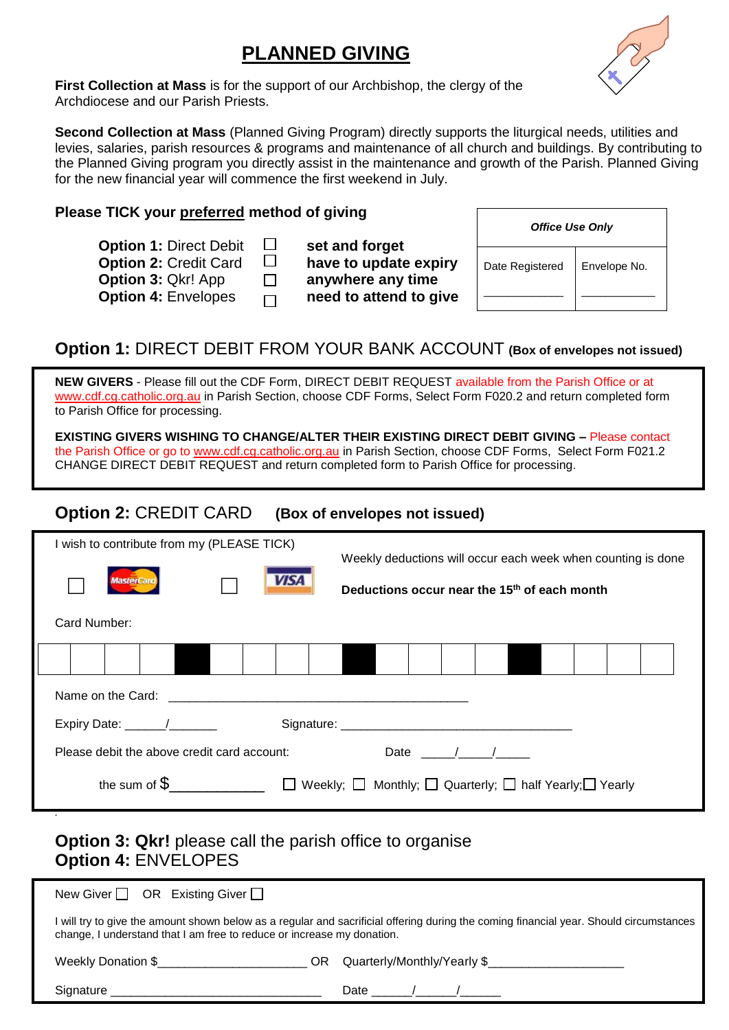# **PLANNED GIVING**



**First Collection at Mass** is for the support of our Archbishop, the clergy of the Archdiocese and our Parish Priests.

**Second Collection at Mass** (Planned Giving Program) directly supports the liturgical needs, utilities and levies, salaries, parish resources & programs and maintenance of all church and buildings. By contributing to the Planned Giving program you directly assist in the maintenance and growth of the Parish. Planned Giving for the new financial year will commence the first weekend in July.

#### **Please TICK your preferred method of giving**

| <b>Option 1: Direct Debit</b> | $\Box$  | set and forget         |
|-------------------------------|---------|------------------------|
| <b>Option 2: Credit Card</b>  | $\Box$  | have to update expiry  |
| <b>Option 3: Qkr! App</b>     | $\perp$ | anywhere any time      |
| <b>Option 4: Envelopes</b>    | $\Box$  | need to attend to give |

| set and forget         |
|------------------------|
| have to update expiry  |
| anywhere any time      |
| need to attend to give |
|                        |

| <b>Office Use Only</b> |  |  |  |  |  |  |
|------------------------|--|--|--|--|--|--|
| Envelope No.           |  |  |  |  |  |  |
|                        |  |  |  |  |  |  |

### **Option 1:** DIRECT DEBIT FROM YOUR BANK ACCOUNT **(Box of envelopes not issued)**

**NEW GIVERS** - Please fill out the CDF Form, DIRECT DEBIT REQUEST available from the Parish Office or at [www.cdf.cg.catholic.org.au](http://www.cdf.cg.catholic.org.au/) in Parish Section, choose CDF Forms, Select Form F020.2 and return completed form to Parish Office for processing.

**EXISTING GIVERS WISHING TO CHANGE/ALTER THEIR EXISTING DIRECT DEBIT GIVING –** Please contact the Parish Office or go to [www.cdf.cg.catholic.org.au](http://www.cdf.cg.catholic.org.au/) in Parish Section, choose CDF Forms, Select Form F021.2 CHANGE DIRECT DEBIT REQUEST and return completed form to Parish Office for processing.

#### **Option 2:** CREDIT CARD **(Box of envelopes not issued)**

| I wish to contribute from my (PLEASE TICK)              |  |      | Weekly deductions will occur each week when counting is done |  |  |  |  |  |  |  |  |
|---------------------------------------------------------|--|------|--------------------------------------------------------------|--|--|--|--|--|--|--|--|
| <b>MasterCard</b>                                       |  | VISA | Deductions occur near the 15 <sup>th</sup> of each month     |  |  |  |  |  |  |  |  |
| Card Number:                                            |  |      |                                                              |  |  |  |  |  |  |  |  |
|                                                         |  |      |                                                              |  |  |  |  |  |  |  |  |
|                                                         |  |      |                                                              |  |  |  |  |  |  |  |  |
| Expiry Date: ______/_______                             |  |      |                                                              |  |  |  |  |  |  |  |  |
| Date / /<br>Please debit the above credit card account: |  |      |                                                              |  |  |  |  |  |  |  |  |
|                                                         |  |      |                                                              |  |  |  |  |  |  |  |  |

### **Option 3: Qkr!** please call the parish office to organise **Option 4:** ENVELOPES

*.*

| New Giver $\Box$ OR Existing Giver $\Box$                                                                                                                                                                                           |                             |  |  |  |  |
|-------------------------------------------------------------------------------------------------------------------------------------------------------------------------------------------------------------------------------------|-----------------------------|--|--|--|--|
| I will try to give the amount shown below as a regular and sacrificial offering during the coming financial year. Should circumstances<br>change, I understand that I am free to reduce or increase my donation.                    |                             |  |  |  |  |
| Weekly Donation \$<br>OR.                                                                                                                                                                                                           | Quarterly/Monthly/Yearly \$ |  |  |  |  |
| Signature <b>Signature</b> and the state of the state of the state of the state of the state of the state of the state of the state of the state of the state of the state of the state of the state of the state of the state of t | Date $\sqrt{2}$             |  |  |  |  |